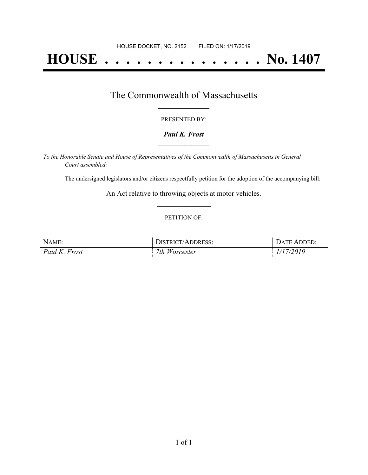# **HOUSE . . . . . . . . . . . . . . . No. 1407**

### The Commonwealth of Massachusetts **\_\_\_\_\_\_\_\_\_\_\_\_\_\_\_\_\_**

#### PRESENTED BY:

#### *Paul K. Frost* **\_\_\_\_\_\_\_\_\_\_\_\_\_\_\_\_\_**

*To the Honorable Senate and House of Representatives of the Commonwealth of Massachusetts in General Court assembled:*

The undersigned legislators and/or citizens respectfully petition for the adoption of the accompanying bill:

An Act relative to throwing objects at motor vehicles. **\_\_\_\_\_\_\_\_\_\_\_\_\_\_\_**

#### PETITION OF:

| NAME:         | DISTRICT/ADDRESS: | DATE ADDED: |
|---------------|-------------------|-------------|
| Paul K. Frost | 7th Worcester     | 1/17/2019   |